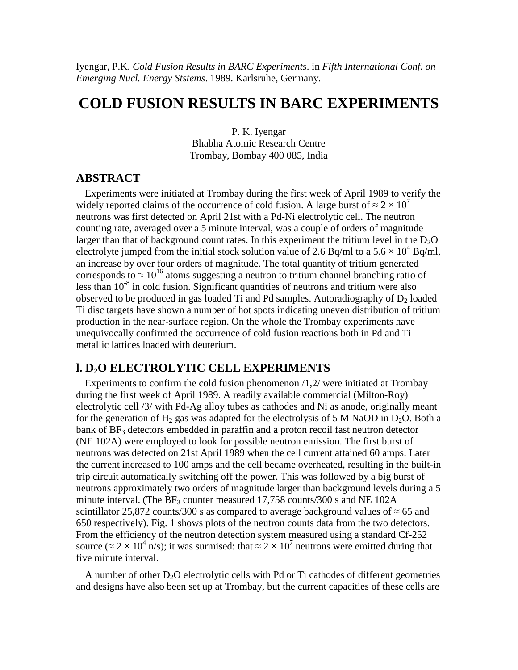Iyengar, P.K. *Cold Fusion Results in BARC Experiments*. in *Fifth International Conf. on Emerging Nucl. Energy Ststems*. 1989. Karlsruhe, Germany.

# **COLD FUSION RESULTS IN BARC EXPERIMENTS**

P. K. Iyengar Bhabha Atomic Research Centre Trombay, Bombay 400 085, India

#### **ABSTRACT**

Experiments were initiated at Trombay during the first week of April 1989 to verify the widely reported claims of the occurrence of cold fusion. A large burst of  $\approx 2 \times 10^7$ neutrons was first detected on April 21st with a Pd-Ni electrolytic cell. The neutron counting rate, averaged over a 5 minute interval, was a couple of orders of magnitude larger than that of background count rates. In this experiment the tritium level in the  $D_2O$ electrolyte jumped from the initial stock solution value of 2.6 Bq/ml to a  $5.6 \times 10^4$  Bq/ml, an increase by over four orders of magnitude. The total quantity of tritium generated corresponds to  $\approx 10^{16}$  atoms suggesting a neutron to tritium channel branching ratio of less than 10<sup>-8</sup> in cold fusion. Significant quantities of neutrons and tritium were also observed to be produced in gas loaded Ti and Pd samples. Autoradiography of  $D_2$  loaded Ti disc targets have shown a number of hot spots indicating uneven distribution of tritium production in the near-surface region. On the whole the Trombay experiments have unequivocally confirmed the occurrence of cold fusion reactions both in Pd and Ti metallic lattices loaded with deuterium.

### **l. D2O ELECTROLYTIC CELL EXPERIMENTS**

Experiments to confirm the cold fusion phenomenon /1,2/ were initiated at Trombay during the first week of April 1989. A readily available commercial (Milton-Roy) electrolytic cell /3/ with Pd-Ag alloy tubes as cathodes and Ni as anode, originally meant for the generation of  $H_2$  gas was adapted for the electrolysis of 5 M NaOD in D<sub>2</sub>O. Both a bank of  $BF_3$  detectors embedded in paraffin and a proton recoil fast neutron detector (NE 102A) were employed to look for possible neutron emission. The first burst of neutrons was detected on 21st April 1989 when the cell current attained 60 amps. Later the current increased to 100 amps and the cell became overheated, resulting in the built-in trip circuit automatically switching off the power. This was followed by a big burst of neutrons approximately two orders of magnitude larger than background levels during a 5 minute interval. (The  $BF_3$  counter measured 17,758 counts/300 s and NE 102A scintillator 25,872 counts/300 s as compared to average background values of  $\approx$  65 and 650 respectively). Fig. 1 shows plots of the neutron counts data from the two detectors. From the efficiency of the neutron detection system measured using a standard Cf-252 source ( $\approx$  2  $\times$  10<sup>4</sup> n/s); it was surmised: that  $\approx$  2  $\times$  10<sup>7</sup> neutrons were emitted during that five minute interval.

A number of other  $D_2O$  electrolytic cells with Pd or Ti cathodes of different geometries and designs have also been set up at Trombay, but the current capacities of these cells are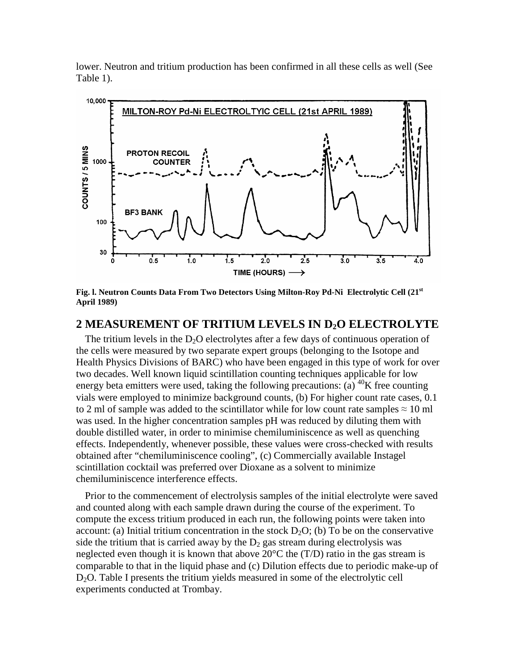lower. Neutron and tritium production has been confirmed in all these cells as well (See Table 1).



**Fig. l. Neutron Counts Data From Two Detectors Using Milton-Roy Pd-Ni Electrolytic Cell (21st April 1989)**

#### **2 MEASUREMENT OF TRITIUM LEVELS IN D2O ELECTROLYTE**

The tritium levels in the  $D_2O$  electrolytes after a few days of continuous operation of the cells were measured by two separate expert groups (belonging to the Isotope and Health Physics Divisions of BARC) who have been engaged in this type of work for over two decades. Well known liquid scintillation counting techniques applicable for low energy beta emitters were used, taking the following precautions: (a)  $^{40}$ K free counting vials were employed to minimize background counts, (b) For higher count rate cases, 0.1 to 2 ml of sample was added to the scintillator while for low count rate samples  $\approx 10$  ml was used. In the higher concentration samples pH was reduced by diluting them with double distilled water, in order to minimise chemiluminiscence as well as quenching effects. Independently, whenever possible, these values were cross-checked with results obtained after "chemiluminiscence cooling", (c) Commercially available Instagel scintillation cocktail was preferred over Dioxane as a solvent to minimize chemiluminiscence interference effects.

Prior to the commencement of electrolysis samples of the initial electrolyte were saved and counted along with each sample drawn during the course of the experiment. To compute the excess tritium produced in each run, the following points were taken into account: (a) Initial tritium concentration in the stock  $D_2O$ ; (b) To be on the conservative side the tritium that is carried away by the  $D_2$  gas stream during electrolysis was neglected even though it is known that above 20°C the (T/D) ratio in the gas stream is comparable to that in the liquid phase and (c) Dilution effects due to periodic make-up of D<sub>2</sub>O. Table I presents the tritium yields measured in some of the electrolytic cell experiments conducted at Trombay.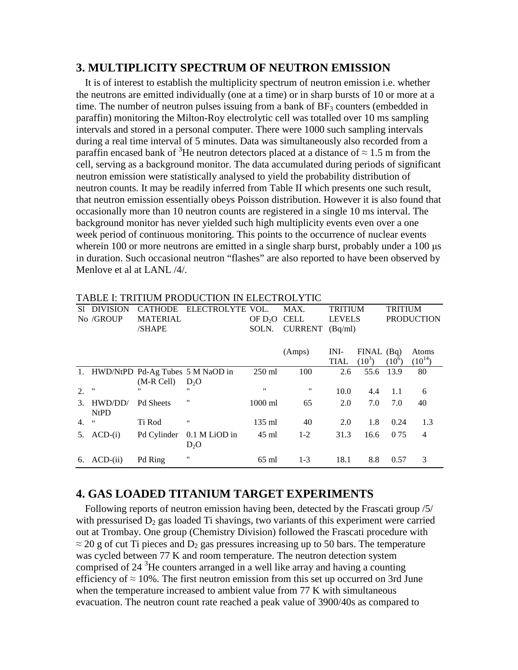#### **3. MULTIPLICITY SPECTRUM OF NEUTRON EMISSION**

It is of interest to establish the multiplicity spectrum of neutron emission i.e. whether the neutrons are emitted individually (one at a time) or in sharp bursts of 10 or more at a time. The number of neutron pulses issuing from a bank of  $BF_3$  counters (embedded in paraffin) monitoring the Milton-Roy electrolytic cell was totalled over 10 ms sampling intervals and stored in a personal computer. There were 1000 such sampling intervals during a real time interval of 5 minutes. Data was simultaneously also recorded from a paraffin encased bank of <sup>3</sup>He neutron detectors placed at a distance of  $\approx 1.5$  m from the cell, serving as a background monitor. The data accumulated during periods of significant neutron emission were statistically analysed to yield the probability distribution of neutron counts. It may be readily inferred from Table II which presents one such result, that neutron emission essentially obeys Poisson distribution. However it is also found that occasionally more than 10 neutron counts are registered in a single 10 ms interval. The background monitor has never yielded such high multiplicity events even over a one week period of continuous monitoring. This points to the occurrence of nuclear events wherein 100 or more neutrons are emitted in a single sharp burst, probably under a 100 μs in duration. Such occasional neutron "flashes" are also reported to have been observed by Menlove et al at LANL /4/.

| S1 | <b>DIVISION</b>    | <b>CATHODE</b>   | ELECTROLYTE                         | VOL.                     | MAX.           | <b>TRITIUM</b> |              | <b>TRITIUM</b>    |             |  |
|----|--------------------|------------------|-------------------------------------|--------------------------|----------------|----------------|--------------|-------------------|-------------|--|
|    | No /GROUP          | <b>MATERIAL</b>  |                                     | OF D <sub>2</sub> O CELL |                | <b>LEVELS</b>  |              | <b>PRODUCTION</b> |             |  |
|    |                    | /SHAPE           |                                     | SOLN.                    | <b>CURRENT</b> | (Bq/ml)        |              |                   |             |  |
|    |                    |                  |                                     |                          |                |                |              |                   |             |  |
|    |                    |                  |                                     |                          | (Amps)         | INI-           | $FINAL$ (Bq) |                   | Atoms       |  |
|    |                    |                  |                                     |                          |                | <b>TIAL</b>    | $(10^3)$     | $(10^6)$          | $(10^{14})$ |  |
|    |                    |                  | 1. HWD/NtPD Pd-Ag Tubes 5 M NaOD in | $250$ ml                 | 100            | 2.6            | 55.6         | 13.9              | 80          |  |
|    |                    | $(M-R Cell)$     | D <sub>2</sub> O                    |                          |                |                |              |                   |             |  |
| 2. | $^{\prime\prime}$  | "                | "                                   | $^{\prime\prime}$        | "              | 10.0           | 4.4          | 1.1               | 6           |  |
| 3. | HWD/DD/            | <b>Pd Sheets</b> | "                                   | $1000$ ml                | 65             | 2.0            | 7.0          | 7.0               | 40          |  |
|    | NtPD               |                  |                                     |                          |                |                |              |                   |             |  |
| 4. | $\pmb{\mathsf{H}}$ | Ti Rod           | "                                   | $135 \text{ ml}$         | 40             | 2.0            | 1.8          | 0.24              | 1.3         |  |
| 5. | $ACD-(i)$          | Pd Cylinder      | 0.1 M LiOD in                       | $45 \text{ ml}$          | $1 - 2$        | 31.3           | 16.6         | 0.75              | 4           |  |
|    |                    |                  | D <sub>2</sub> O                    |                          |                |                |              |                   |             |  |
| 6. | $ACD$ -(ii)        | Pd Ring          | "                                   | 65 ml                    | $1-3$          | 18.1           | 8.8          | 0.57              | 3           |  |

TABLE I: TRITIUM PRODUCTION IN ELECTROLYTIC

### **4. GAS LOADED TITANIUM TARGET EXPERIMENTS**

Following reports of neutron emission having been, detected by the Frascati group /5/ with pressurised  $D_2$  gas loaded Ti shavings, two variants of this experiment were carried out at Trombay. One group (Chemistry Division) followed the Frascati procedure with  $\approx$  20 g of cut Ti pieces and D<sub>2</sub> gas pressures increasing up to 50 bars. The temperature was cycled between 77 K and room temperature. The neutron detection system comprised of  $24<sup>3</sup>$ He counters arranged in a well like array and having a counting efficiency of  $\approx 10\%$ . The first neutron emission from this set up occurred on 3rd June when the temperature increased to ambient value from 77 K with simultaneous evacuation. The neutron count rate reached a peak value of 3900/40s as compared to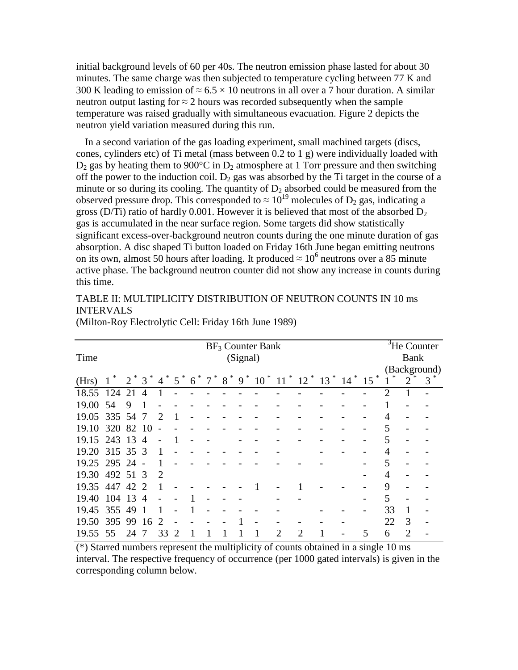initial background levels of 60 per 40s. The neutron emission phase lasted for about 30 minutes. The same charge was then subjected to temperature cycling between 77 K and 300 K leading to emission of  $\approx 6.5 \times 10$  neutrons in all over a 7 hour duration. A similar neutron output lasting for  $\approx$  2 hours was recorded subsequently when the sample temperature was raised gradually with simultaneous evacuation. Figure 2 depicts the neutron yield variation measured during this run.

In a second variation of the gas loading experiment, small machined targets (discs, cones, cylinders etc) of Ti metal (mass between 0.2 to 1 g) were individually loaded with  $D_2$  gas by heating them to 900°C in  $D_2$  atmosphere at 1 Torr pressure and then switching off the power to the induction coil.  $D_2$  gas was absorbed by the Ti target in the course of a minute or so during its cooling. The quantity of  $D_2$  absorbed could be measured from the observed pressure drop. This corresponded to  $\approx 10^{19}$  molecules of D<sub>2</sub> gas, indicating a gross (D/Ti) ratio of hardly 0.001. However it is believed that most of the absorbed  $D_2$ gas is accumulated in the near surface region. Some targets did show statistically significant excess-over-background neutron counts during the one minute duration of gas absorption. A disc shaped Ti button loaded on Friday 16th June began emitting neutrons on its own, almost 50 hours after loading. It produced  $\approx 10^6$  neutrons over a 85 minute active phase. The background neutron counter did not show any increase in counts during this time.

#### TABLE II: MULTIPLICITY DISTRIBUTION OF NEUTRON COUNTS IN 10 ms INTERVALS

|                | $BF_3$ Counter Bank |         |                 |                             |                             |   |        |        |             |        |                |              | ${}^{3}$ He Counter |           |             |             |                |   |
|----------------|---------------------|---------|-----------------|-----------------------------|-----------------------------|---|--------|--------|-------------|--------|----------------|--------------|---------------------|-----------|-------------|-------------|----------------|---|
| Time           |                     |         |                 | (Signal)                    |                             |   |        |        |             |        |                |              |                     |           |             | <b>Bank</b> |                |   |
|                |                     |         |                 |                             |                             |   |        |        |             |        |                | (Background) |                     |           |             |             |                |   |
| (Hrs)          | $\vert$             | $2^*$ 3 |                 | $\overline{4}$              | 5                           | 6 | $\tau$ | *<br>8 | $\ast$<br>9 | $10^*$ | $11^{\degree}$ | $12$ $*$     | $13$ <sup>*</sup>   | $*$<br>14 | $\gg$<br>15 | *           | $\overline{2}$ | 3 |
| 18.55          | 124                 | 21      | $\overline{4}$  |                             |                             |   |        |        |             |        |                |              |                     |           |             | 2           |                |   |
| 19.00          | 54                  | 9       | 1               |                             |                             |   |        |        |             |        |                |              |                     |           |             |             |                |   |
| 19.05          | 335 54              |         | $7\phantom{.0}$ | $\mathcal{D}_{\mathcal{L}}$ | $\mathbf{1}$                |   |        |        |             |        |                |              |                     |           |             | 4           |                |   |
| 19.10          | 320 82 10           |         |                 |                             |                             |   |        |        |             |        |                |              |                     |           |             | 5           |                |   |
| 19.15          | 243                 | 13      | $\overline{4}$  |                             |                             |   |        |        |             |        |                |              |                     |           |             | 5           |                |   |
| 19.20 315 35 3 |                     |         |                 |                             |                             |   |        |        |             |        |                |              |                     |           |             | 4           |                |   |
| 19.25 295 24   |                     |         | $\overline{a}$  |                             |                             |   |        |        |             |        |                |              |                     |           |             | 5           |                |   |
| 19.30          | 492 51 3            |         |                 | $\mathcal{D}$               |                             |   |        |        |             |        |                |              |                     |           |             | 4           |                |   |
| 19.35          | 447                 | 42      | $\mathcal{D}$   |                             |                             |   |        |        |             |        |                |              |                     |           |             | 9           |                |   |
| 19.40          | 104                 | 13      | $\overline{4}$  |                             |                             |   |        |        |             |        |                |              |                     |           |             | 5           |                |   |
| 19.45          | 355                 | 49      | 1               |                             |                             |   |        |        |             |        |                |              |                     |           |             | 33          |                |   |
| 19.50          | 395                 | 99      | 16              | 2                           |                             |   |        |        |             |        |                |              |                     |           |             | 22          | $\mathcal{R}$  |   |
| 19.55          | 55                  | 24      | 7               | 33                          | $\mathcal{D}_{\mathcal{L}}$ |   |        |        |             |        | 2              | 2            |                     |           | 5           | 6           | 2              |   |

(Milton-Roy Electrolytic Cell: Friday 16th June 1989)

(\*) Starred numbers represent the multiplicity of counts obtained in a single 10 ms interval. The respective frequency of occurrence (per 1000 gated intervals) is given in the corresponding column below.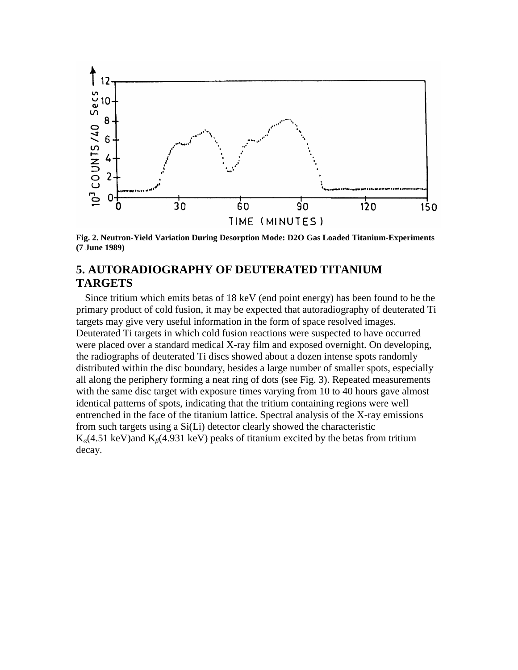

**Fig. 2. Neutron-Yield Variation During Desorption Mode: D2O Gas Loaded Titanium-Experiments (7 June 1989)**

### **5. AUTORADIOGRAPHY OF DEUTERATED TITANIUM TARGETS**

Since tritium which emits betas of 18 keV (end point energy) has been found to be the primary product of cold fusion, it may be expected that autoradiography of deuterated Ti targets may give very useful information in the form of space resolved images. Deuterated Ti targets in which cold fusion reactions were suspected to have occurred were placed over a standard medical X-ray film and exposed overnight. On developing, the radiographs of deuterated Ti discs showed about a dozen intense spots randomly distributed within the disc boundary, besides a large number of smaller spots, especially all along the periphery forming a neat ring of dots (see Fig. 3). Repeated measurements with the same disc target with exposure times varying from 10 to 40 hours gave almost identical patterns of spots, indicating that the tritium containing regions were well entrenched in the face of the titanium lattice. Spectral analysis of the X-ray emissions from such targets using a Si(Li) detector clearly showed the characteristic K*α*(4.51 keV)and K*β*(4.931 keV) peaks of titanium excited by the betas from tritium decay.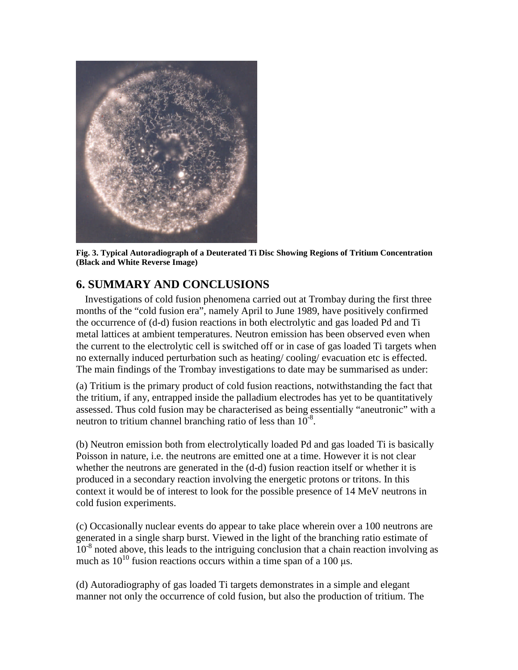

**Fig. 3. Typical Autoradiograph of a Deuterated Ti Disc Showing Regions of Tritium Concentration (Black and White Reverse Image)**

## **6. SUMMARY AND CONCLUSIONS**

Investigations of cold fusion phenomena carried out at Trombay during the first three months of the "cold fusion era", namely April to June 1989, have positively confirmed the occurrence of (d-d) fusion reactions in both electrolytic and gas loaded Pd and Ti metal lattices at ambient temperatures. Neutron emission has been observed even when the current to the electrolytic cell is switched off or in case of gas loaded Ti targets when no externally induced perturbation such as heating/ cooling/ evacuation etc is effected. The main findings of the Trombay investigations to date may be summarised as under:

(a) Tritium is the primary product of cold fusion reactions, notwithstanding the fact that the tritium, if any, entrapped inside the palladium electrodes has yet to be quantitatively assessed. Thus cold fusion may be characterised as being essentially "aneutronic" with a neutron to tritium channel branching ratio of less than  $10^{-8}$ .

(b) Neutron emission both from electrolytically loaded Pd and gas loaded Ti is basically Poisson in nature, i.e. the neutrons are emitted one at a time. However it is not clear whether the neutrons are generated in the  $(d-d)$  fusion reaction itself or whether it is produced in a secondary reaction involving the energetic protons or tritons. In this context it would be of interest to look for the possible presence of 14 MeV neutrons in cold fusion experiments.

(c) Occasionally nuclear events do appear to take place wherein over a 100 neutrons are generated in a single sharp burst. Viewed in the light of the branching ratio estimate of  $10^{-8}$  noted above, this leads to the intriguing conclusion that a chain reaction involving as much as  $10^{10}$  fusion reactions occurs within a time span of a 100 μs.

(d) Autoradiography of gas loaded Ti targets demonstrates in a simple and elegant manner not only the occurrence of cold fusion, but also the production of tritium. The